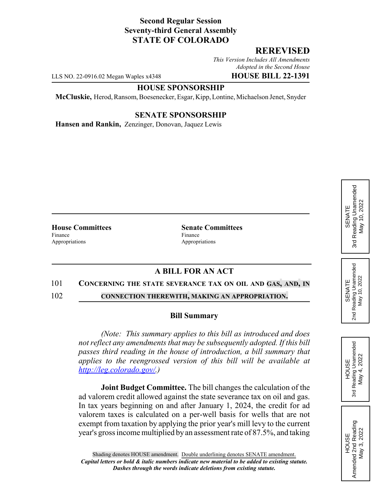## **Second Regular Session Seventy-third General Assembly STATE OF COLORADO**

## **REREVISED**

*This Version Includes All Amendments Adopted in the Second House*

LLS NO. 22-0916.02 Megan Waples x4348 **HOUSE BILL 22-1391**

#### **HOUSE SPONSORSHIP**

**McCluskie,** Herod, Ransom, Boesenecker, Esgar, Kipp, Lontine, Michaelson Jenet, Snyder

### **SENATE SPONSORSHIP**

**Hansen and Rankin,** Zenzinger, Donovan, Jaquez Lewis

Finance Finance Appropriations Appropriations

**House Committees Senate Committees**

# **A BILL FOR AN ACT**

#### 101 **CONCERNING THE STATE SEVERANCE TAX ON OIL AND GAS, AND, IN**

102 **CONNECTION THEREWITH, MAKING AN APPROPRIATION.**

#### **Bill Summary**

*(Note: This summary applies to this bill as introduced and does not reflect any amendments that may be subsequently adopted. If this bill passes third reading in the house of introduction, a bill summary that applies to the reengrossed version of this bill will be available at http://leg.colorado.gov/.)*

**Joint Budget Committee.** The bill changes the calculation of the ad valorem credit allowed against the state severance tax on oil and gas. In tax years beginning on and after January 1, 2024, the credit for ad valorem taxes is calculated on a per-well basis for wells that are not exempt from taxation by applying the prior year's mill levy to the current year's gross income multiplied by an assessment rate of 87.5%, and taking

Reading Unamended 3rd Reading Unamended May 4, 2022 May 4, 2022 HOUSE

3rd

2<sub>nd</sub>

HOUSE Amended 2nd Reading May 3, 2022

Amended 2nd Reading<br>May 3, 2022

SENATE 2nd Reading Unamended May 10, 2022

Reading Unamended<br>May 10, 2022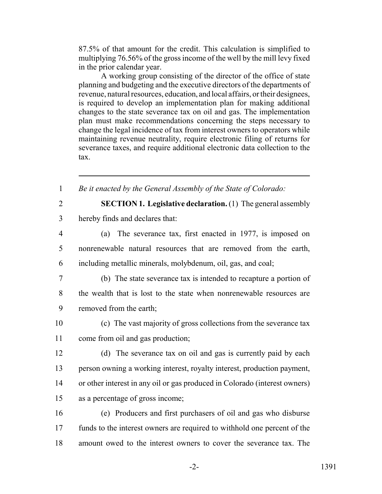87.5% of that amount for the credit. This calculation is simplified to multiplying 76.56% of the gross income of the well by the mill levy fixed in the prior calendar year.

A working group consisting of the director of the office of state planning and budgeting and the executive directors of the departments of revenue, natural resources, education, and local affairs, or their designees, is required to develop an implementation plan for making additional changes to the state severance tax on oil and gas. The implementation plan must make recommendations concerning the steps necessary to change the legal incidence of tax from interest owners to operators while maintaining revenue neutrality, require electronic filing of returns for severance taxes, and require additional electronic data collection to the tax.

1 *Be it enacted by the General Assembly of the State of Colorado:*

 **SECTION 1. Legislative declaration.** (1) The general assembly hereby finds and declares that: (a) The severance tax, first enacted in 1977, is imposed on nonrenewable natural resources that are removed from the earth, including metallic minerals, molybdenum, oil, gas, and coal; (b) The state severance tax is intended to recapture a portion of the wealth that is lost to the state when nonrenewable resources are removed from the earth; (c) The vast majority of gross collections from the severance tax come from oil and gas production; (d) The severance tax on oil and gas is currently paid by each person owning a working interest, royalty interest, production payment, or other interest in any oil or gas produced in Colorado (interest owners) as a percentage of gross income; (e) Producers and first purchasers of oil and gas who disburse funds to the interest owners are required to withhold one percent of the amount owed to the interest owners to cover the severance tax. The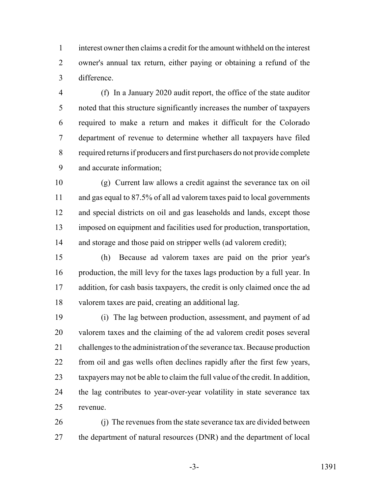interest owner then claims a credit for the amount withheld on the interest owner's annual tax return, either paying or obtaining a refund of the difference.

 (f) In a January 2020 audit report, the office of the state auditor noted that this structure significantly increases the number of taxpayers required to make a return and makes it difficult for the Colorado department of revenue to determine whether all taxpayers have filed required returns if producers and first purchasers do not provide complete and accurate information;

 (g) Current law allows a credit against the severance tax on oil and gas equal to 87.5% of all ad valorem taxes paid to local governments and special districts on oil and gas leaseholds and lands, except those imposed on equipment and facilities used for production, transportation, 14 and storage and those paid on stripper wells (ad valorem credit);

 (h) Because ad valorem taxes are paid on the prior year's production, the mill levy for the taxes lags production by a full year. In addition, for cash basis taxpayers, the credit is only claimed once the ad valorem taxes are paid, creating an additional lag.

 (i) The lag between production, assessment, and payment of ad valorem taxes and the claiming of the ad valorem credit poses several challenges to the administration of the severance tax. Because production from oil and gas wells often declines rapidly after the first few years, taxpayers may not be able to claim the full value of the credit. In addition, the lag contributes to year-over-year volatility in state severance tax revenue.

 (j) The revenues from the state severance tax are divided between 27 the department of natural resources (DNR) and the department of local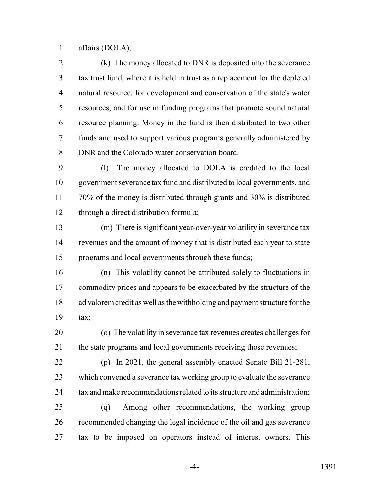affairs (DOLA);

 (k) The money allocated to DNR is deposited into the severance tax trust fund, where it is held in trust as a replacement for the depleted natural resource, for development and conservation of the state's water resources, and for use in funding programs that promote sound natural resource planning. Money in the fund is then distributed to two other funds and used to support various programs generally administered by DNR and the Colorado water conservation board.

 (l) The money allocated to DOLA is credited to the local government severance tax fund and distributed to local governments, and 70% of the money is distributed through grants and 30% is distributed through a direct distribution formula;

 (m) There is significant year-over-year volatility in severance tax revenues and the amount of money that is distributed each year to state programs and local governments through these funds;

 (n) This volatility cannot be attributed solely to fluctuations in 17 commodity prices and appears to be exacerbated by the structure of the ad valorem credit as well as the withholding and payment structure for the tax;

 (o) The volatility in severance tax revenues creates challenges for the state programs and local governments receiving those revenues;

 (p) In 2021, the general assembly enacted Senate Bill 21-281, which convened a severance tax working group to evaluate the severance 24 tax and make recommendations related to its structure and administration; (q) Among other recommendations, the working group

 recommended changing the legal incidence of the oil and gas severance tax to be imposed on operators instead of interest owners. This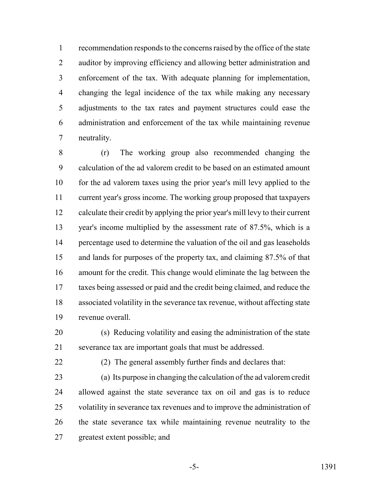recommendation responds to the concerns raised by the office of the state auditor by improving efficiency and allowing better administration and enforcement of the tax. With adequate planning for implementation, changing the legal incidence of the tax while making any necessary adjustments to the tax rates and payment structures could ease the administration and enforcement of the tax while maintaining revenue neutrality.

 (r) The working group also recommended changing the calculation of the ad valorem credit to be based on an estimated amount for the ad valorem taxes using the prior year's mill levy applied to the current year's gross income. The working group proposed that taxpayers calculate their credit by applying the prior year's mill levy to their current year's income multiplied by the assessment rate of 87.5%, which is a percentage used to determine the valuation of the oil and gas leaseholds and lands for purposes of the property tax, and claiming 87.5% of that amount for the credit. This change would eliminate the lag between the taxes being assessed or paid and the credit being claimed, and reduce the associated volatility in the severance tax revenue, without affecting state revenue overall.

 (s) Reducing volatility and easing the administration of the state severance tax are important goals that must be addressed.

(2) The general assembly further finds and declares that:

 (a) Its purpose in changing the calculation of the ad valorem credit allowed against the state severance tax on oil and gas is to reduce volatility in severance tax revenues and to improve the administration of the state severance tax while maintaining revenue neutrality to the greatest extent possible; and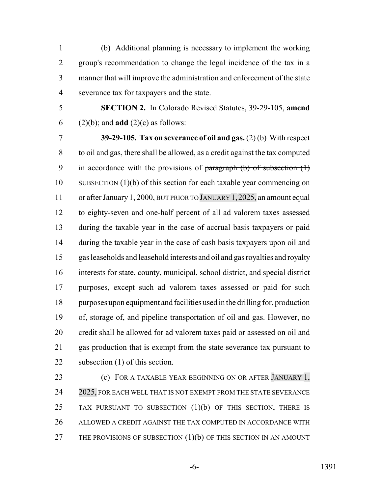(b) Additional planning is necessary to implement the working group's recommendation to change the legal incidence of the tax in a manner that will improve the administration and enforcement of the state severance tax for taxpayers and the state.

- 
- 

 **SECTION 2.** In Colorado Revised Statutes, 39-29-105, **amend** (2)(b); and **add** (2)(c) as follows:

 **39-29-105. Tax on severance of oil and gas.** (2) (b) With respect to oil and gas, there shall be allowed, as a credit against the tax computed 9 in accordance with the provisions of paragraph  $(b)$  of subsection  $(1)$  SUBSECTION (1)(b) of this section for each taxable year commencing on 11 or after January 1, 2000, BUT PRIOR TO JANUARY 1, 2025, an amount equal to eighty-seven and one-half percent of all ad valorem taxes assessed during the taxable year in the case of accrual basis taxpayers or paid during the taxable year in the case of cash basis taxpayers upon oil and gas leaseholds and leasehold interests and oil and gas royalties and royalty interests for state, county, municipal, school district, and special district purposes, except such ad valorem taxes assessed or paid for such purposes upon equipment and facilities used in the drilling for, production of, storage of, and pipeline transportation of oil and gas. However, no credit shall be allowed for ad valorem taxes paid or assessed on oil and gas production that is exempt from the state severance tax pursuant to 22 subsection (1) of this section.

**(c)** FOR A TAXABLE YEAR BEGINNING ON OR AFTER JANUARY 1, 24 2025, FOR EACH WELL THAT IS NOT EXEMPT FROM THE STATE SEVERANCE 25 TAX PURSUANT TO SUBSECTION (1)(b) OF THIS SECTION, THERE IS ALLOWED A CREDIT AGAINST THE TAX COMPUTED IN ACCORDANCE WITH 27 THE PROVISIONS OF SUBSECTION (1)(b) OF THIS SECTION IN AN AMOUNT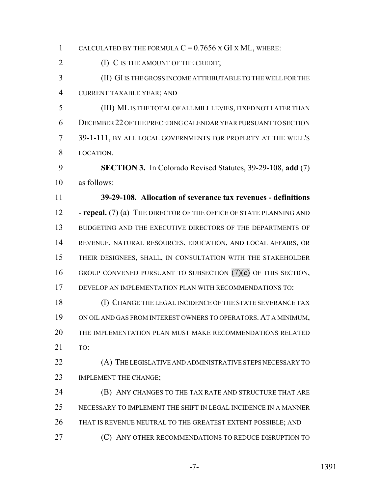| 1              | CALCULATED BY THE FORMULA $C = 0.7656$ X GI X ML, WHERE:             |
|----------------|----------------------------------------------------------------------|
| $\overline{2}$ | (I) C IS THE AMOUNT OF THE CREDIT;                                   |
| 3              | (II) GI IS THE GROSS INCOME ATTRIBUTABLE TO THE WELL FOR THE         |
| $\overline{4}$ | CURRENT TAXABLE YEAR; AND                                            |
| 5              | (III) ML IS THE TOTAL OF ALL MILL LEVIES, FIXED NOT LATER THAN       |
| 6              | DECEMBER 22 OF THE PRECEDING CALENDAR YEAR PURSUANT TO SECTION       |
| 7              | 39-1-111, BY ALL LOCAL GOVERNMENTS FOR PROPERTY AT THE WELL'S        |
| 8              | LOCATION.                                                            |
| 9              | <b>SECTION 3.</b> In Colorado Revised Statutes, 39-29-108, add (7)   |
| 10             | as follows:                                                          |
| 11             | 39-29-108. Allocation of severance tax revenues - definitions        |
| 12             | - repeal. $(7)$ (a) THE DIRECTOR OF THE OFFICE OF STATE PLANNING AND |
| 13             | BUDGETING AND THE EXECUTIVE DIRECTORS OF THE DEPARTMENTS OF          |
| 14             | REVENUE, NATURAL RESOURCES, EDUCATION, AND LOCAL AFFAIRS, OR         |
| 15             | THEIR DESIGNEES, SHALL, IN CONSULTATION WITH THE STAKEHOLDER         |
| 16             | GROUP CONVENED PURSUANT TO SUBSECTION $(7)(c)$ OF THIS SECTION,      |
| 17             | DEVELOP AN IMPLEMENTATION PLAN WITH RECOMMENDATIONS TO:              |
| 18             | (I) CHANGE THE LEGAL INCIDENCE OF THE STATE SEVERANCE TAX            |
| 19             | ON OIL AND GAS FROM INTEREST OWNERS TO OPERATORS. AT A MINIMUM,      |
| 20             | THE IMPLEMENTATION PLAN MUST MAKE RECOMMENDATIONS RELATED            |
| 21             | TO:                                                                  |
| 22             | (A) THE LEGISLATIVE AND ADMINISTRATIVE STEPS NECESSARY TO            |
| 23             | IMPLEMENT THE CHANGE;                                                |
| 24             | (B) ANY CHANGES TO THE TAX RATE AND STRUCTURE THAT ARE               |
| 25             | NECESSARY TO IMPLEMENT THE SHIFT IN LEGAL INCIDENCE IN A MANNER      |
| 26             | THAT IS REVENUE NEUTRAL TO THE GREATEST EXTENT POSSIBLE; AND         |
| 27             | (C) ANY OTHER RECOMMENDATIONS TO REDUCE DISRUPTION TO                |
|                |                                                                      |

-7- 1391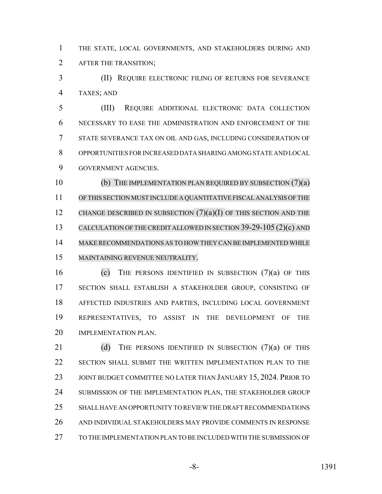THE STATE, LOCAL GOVERNMENTS, AND STAKEHOLDERS DURING AND AFTER THE TRANSITION;

 (II) REQUIRE ELECTRONIC FILING OF RETURNS FOR SEVERANCE TAXES; AND

 (III) REQUIRE ADDITIONAL ELECTRONIC DATA COLLECTION NECESSARY TO EASE THE ADMINISTRATION AND ENFORCEMENT OF THE STATE SEVERANCE TAX ON OIL AND GAS, INCLUDING CONSIDERATION OF OPPORTUNITIES FOR INCREASED DATA SHARING AMONG STATE AND LOCAL GOVERNMENT AGENCIES.

 (b) THE IMPLEMENTATION PLAN REQUIRED BY SUBSECTION (7)(a) OFTHIS SECTION MUST INCLUDE A QUANTITATIVE FISCAL ANALYSIS OF THE 12 CHANGE DESCRIBED IN SUBSECTION  $(7)(a)(I)$  OF THIS SECTION AND THE CALCULATION OF THE CREDIT ALLOWED IN SECTION 39-29-105 (2)(c) AND MAKE RECOMMENDATIONS AS TO HOWTHEY CAN BE IMPLEMENTED WHILE MAINTAINING REVENUE NEUTRALITY.

16 (c) THE PERSONS IDENTIFIED IN SUBSECTION  $(7)(a)$  of this SECTION SHALL ESTABLISH A STAKEHOLDER GROUP, CONSISTING OF AFFECTED INDUSTRIES AND PARTIES, INCLUDING LOCAL GOVERNMENT REPRESENTATIVES, TO ASSIST IN THE DEVELOPMENT OF THE 20 IMPLEMENTATION PLAN.

21 (d) THE PERSONS IDENTIFIED IN SUBSECTION  $(7)(a)$  of this SECTION SHALL SUBMIT THE WRITTEN IMPLEMENTATION PLAN TO THE 23 JOINT BUDGET COMMITTEE NO LATER THAN JANUARY 15, 2024. PRIOR TO 24 SUBMISSION OF THE IMPLEMENTATION PLAN, THE STAKEHOLDER GROUP SHALL HAVE AN OPPORTUNITY TO REVIEW THE DRAFT RECOMMENDATIONS AND INDIVIDUAL STAKEHOLDERS MAY PROVIDE COMMENTS IN RESPONSE TO THE IMPLEMENTATION PLAN TO BE INCLUDED WITH THE SUBMISSION OF

-8- 1391